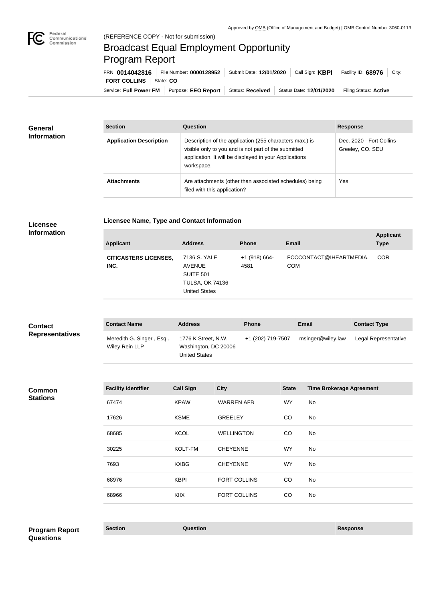

# Broadcast Equal Employment Opportunity Program Report

Service: Full Power FM | Purpose: EEO Report | Status: Received | Status Date: 12/01/2020 | Filing Status: Active **FORT COLLINS** State: CO FRN: **0014042816** File Number: **0000128952** Submit Date: **12/01/2020** Call Sign: **KBPI** Facility ID: **68976** City:

| <b>General</b><br><b>Information</b> | <b>Section</b>                 | Question                                                                                                                                                                                | <b>Response</b>                               |
|--------------------------------------|--------------------------------|-----------------------------------------------------------------------------------------------------------------------------------------------------------------------------------------|-----------------------------------------------|
|                                      | <b>Application Description</b> | Description of the application (255 characters max.) is<br>visible only to you and is not part of the submitted<br>application. It will be displayed in your Applications<br>workspace. | Dec. 2020 - Fort Collins-<br>Greeley, CO. SEU |
|                                      | <b>Attachments</b>             | Are attachments (other than associated schedules) being<br>filed with this application?                                                                                                 | Yes                                           |

### **Licensee Information**

**Licensee Name, Type and Contact Information**

| <b>Applicant</b>                     | <b>Address</b>                                                                        | <b>Phone</b>            | <b>Email</b>                          | <b>Applicant</b><br><b>Type</b> |
|--------------------------------------|---------------------------------------------------------------------------------------|-------------------------|---------------------------------------|---------------------------------|
| <b>CITICASTERS LICENSES,</b><br>INC. | 7136 S. YALE<br>AVENUE<br>SUITE 501<br><b>TULSA, OK 74136</b><br><b>United States</b> | $+1$ (918) 664-<br>4581 | FCCCONTACT@IHEARTMEDIA.<br><b>COM</b> | <b>COR</b>                      |

| <b>Contact</b><br><b>Representatives</b> | <b>Contact Name</b>                        | <b>Address</b>                                                      | <b>Phone</b>      | <b>Email</b>      | <b>Contact Type</b>  |
|------------------------------------------|--------------------------------------------|---------------------------------------------------------------------|-------------------|-------------------|----------------------|
|                                          | Meredith G. Singer, Esq.<br>Wiley Rein LLP | 1776 K Street, N.W.<br>Washington, DC 20006<br><b>United States</b> | +1 (202) 719-7507 | msinger@wiley.law | Legal Representative |

#### **Common Stations**

| <b>Facility Identifier</b> | <b>Call Sign</b> | <b>City</b>         | <b>State</b> | <b>Time Brokerage Agreement</b> |
|----------------------------|------------------|---------------------|--------------|---------------------------------|
| 67474                      | <b>KPAW</b>      | <b>WARREN AFB</b>   | <b>WY</b>    | No                              |
| 17626                      | <b>KSME</b>      | <b>GREELEY</b>      | CO           | No                              |
| 68685                      | <b>KCOL</b>      | <b>WELLINGTON</b>   | CO           | No                              |
| 30225                      | KOLT-FM          | <b>CHEYENNE</b>     | <b>WY</b>    | No                              |
| 7693                       | <b>KXBG</b>      | <b>CHEYENNE</b>     | <b>WY</b>    | No                              |
| 68976                      | <b>KBPI</b>      | <b>FORT COLLINS</b> | CO           | No                              |
| 68966                      | <b>KIIX</b>      | <b>FORT COLLINS</b> | CO           | No                              |
|                            |                  |                     |              |                                 |

## **Section Question Response Program Report Questions**